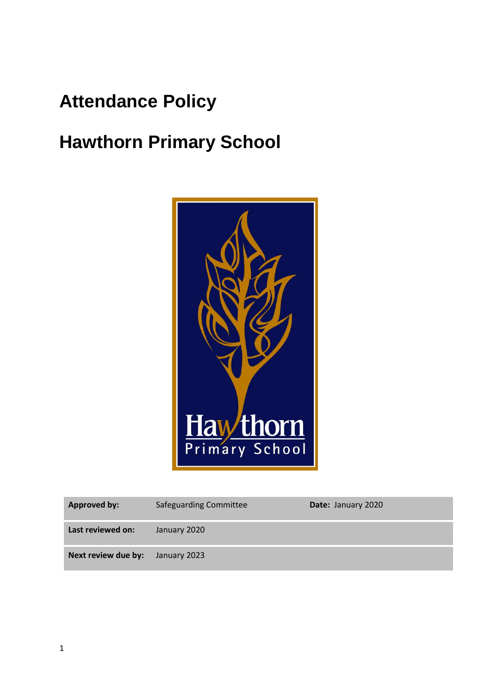# **Attendance Policy**

# **Hawthorn Primary School**



| <b>Approved by:</b> | <b>Safeguarding Committee</b> | Date: January 2020 |
|---------------------|-------------------------------|--------------------|
| Last reviewed on:   | January 2020                  |                    |
| Next review due by: | January 2023                  |                    |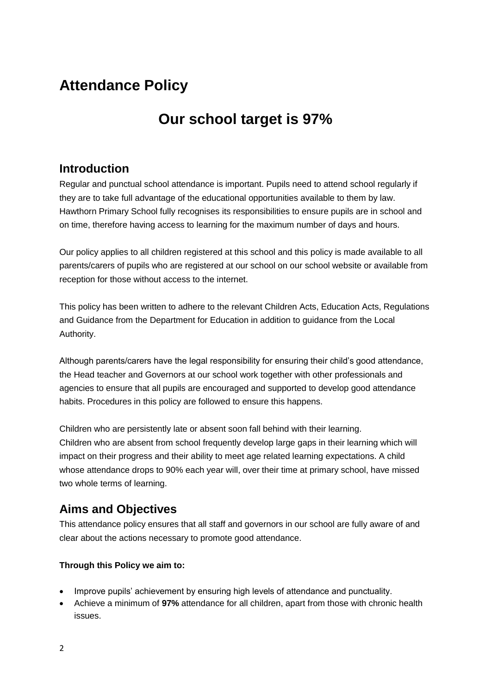## **Attendance Policy**

## **Our school target is 97%**

## **Introduction**

Regular and punctual school attendance is important. Pupils need to attend school regularly if they are to take full advantage of the educational opportunities available to them by law. Hawthorn Primary School fully recognises its responsibilities to ensure pupils are in school and on time, therefore having access to learning for the maximum number of days and hours.

Our policy applies to all children registered at this school and this policy is made available to all parents/carers of pupils who are registered at our school on our school website or available from reception for those without access to the internet.

This policy has been written to adhere to the relevant Children Acts, Education Acts, Regulations and Guidance from the Department for Education in addition to guidance from the Local Authority.

Although parents/carers have the legal responsibility for ensuring their child's good attendance, the Head teacher and Governors at our school work together with other professionals and agencies to ensure that all pupils are encouraged and supported to develop good attendance habits. Procedures in this policy are followed to ensure this happens.

Children who are persistently late or absent soon fall behind with their learning. Children who are absent from school frequently develop large gaps in their learning which will impact on their progress and their ability to meet age related learning expectations. A child whose attendance drops to 90% each year will, over their time at primary school, have missed two whole terms of learning.

## **Aims and Objectives**

This attendance policy ensures that all staff and governors in our school are fully aware of and clear about the actions necessary to promote good attendance.

#### **Through this Policy we aim to:**

- Improve pupils' achievement by ensuring high levels of attendance and punctuality.
- Achieve a minimum of **97%** attendance for all children, apart from those with chronic health issues.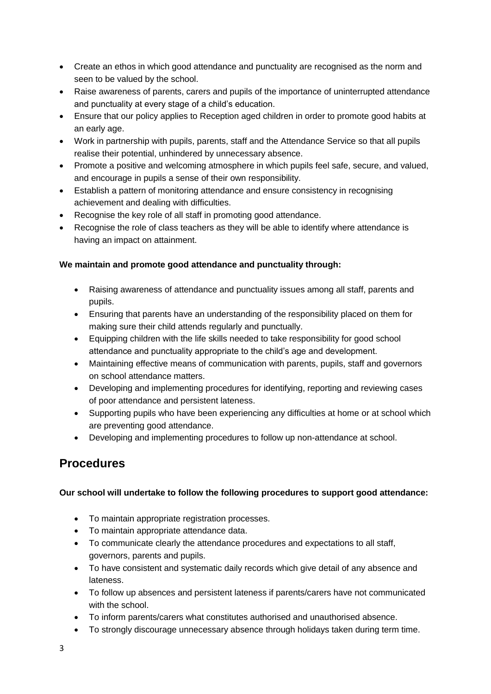- Create an ethos in which good attendance and punctuality are recognised as the norm and seen to be valued by the school.
- Raise awareness of parents, carers and pupils of the importance of uninterrupted attendance and punctuality at every stage of a child's education.
- Ensure that our policy applies to Reception aged children in order to promote good habits at an early age.
- Work in partnership with pupils, parents, staff and the Attendance Service so that all pupils realise their potential, unhindered by unnecessary absence.
- Promote a positive and welcoming atmosphere in which pupils feel safe, secure, and valued, and encourage in pupils a sense of their own responsibility.
- Establish a pattern of monitoring attendance and ensure consistency in recognising achievement and dealing with difficulties.
- Recognise the key role of all staff in promoting good attendance.
- Recognise the role of class teachers as they will be able to identify where attendance is having an impact on attainment.

#### **We maintain and promote good attendance and punctuality through:**

- Raising awareness of attendance and punctuality issues among all staff, parents and pupils.
- Ensuring that parents have an understanding of the responsibility placed on them for making sure their child attends regularly and punctually.
- Equipping children with the life skills needed to take responsibility for good school attendance and punctuality appropriate to the child's age and development.
- Maintaining effective means of communication with parents, pupils, staff and governors on school attendance matters.
- Developing and implementing procedures for identifying, reporting and reviewing cases of poor attendance and persistent lateness.
- Supporting pupils who have been experiencing any difficulties at home or at school which are preventing good attendance.
- Developing and implementing procedures to follow up non-attendance at school.

## **Procedures**

#### **Our school will undertake to follow the following procedures to support good attendance:**

- To maintain appropriate registration processes.
- To maintain appropriate attendance data.
- To communicate clearly the attendance procedures and expectations to all staff, governors, parents and pupils.
- To have consistent and systematic daily records which give detail of any absence and lateness.
- To follow up absences and persistent lateness if parents/carers have not communicated with the school.
- To inform parents/carers what constitutes authorised and unauthorised absence.
- To strongly discourage unnecessary absence through holidays taken during term time.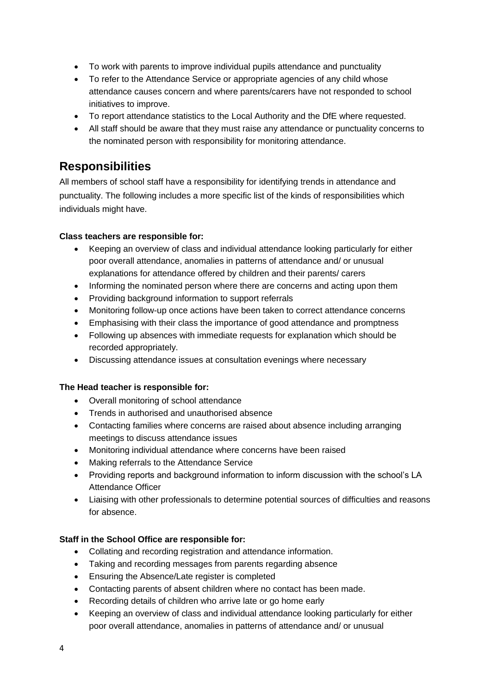- To work with parents to improve individual pupils attendance and punctuality
- To refer to the Attendance Service or appropriate agencies of any child whose attendance causes concern and where parents/carers have not responded to school initiatives to improve.
- To report attendance statistics to the Local Authority and the DfE where requested.
- All staff should be aware that they must raise any attendance or punctuality concerns to the nominated person with responsibility for monitoring attendance.

## **Responsibilities**

All members of school staff have a responsibility for identifying trends in attendance and punctuality. The following includes a more specific list of the kinds of responsibilities which individuals might have.

#### **Class teachers are responsible for:**

- Keeping an overview of class and individual attendance looking particularly for either poor overall attendance, anomalies in patterns of attendance and/ or unusual explanations for attendance offered by children and their parents/ carers
- Informing the nominated person where there are concerns and acting upon them
- Providing background information to support referrals
- Monitoring follow-up once actions have been taken to correct attendance concerns
- Emphasising with their class the importance of good attendance and promptness
- Following up absences with immediate requests for explanation which should be recorded appropriately.
- Discussing attendance issues at consultation evenings where necessary

#### **The Head teacher is responsible for:**

- Overall monitoring of school attendance
- Trends in authorised and unauthorised absence
- Contacting families where concerns are raised about absence including arranging meetings to discuss attendance issues
- Monitoring individual attendance where concerns have been raised
- Making referrals to the Attendance Service
- Providing reports and background information to inform discussion with the school's LA Attendance Officer
- Liaising with other professionals to determine potential sources of difficulties and reasons for absence.

#### **Staff in the School Office are responsible for:**

- Collating and recording registration and attendance information.
- Taking and recording messages from parents regarding absence
- Ensuring the Absence/Late register is completed
- Contacting parents of absent children where no contact has been made.
- Recording details of children who arrive late or go home early
- Keeping an overview of class and individual attendance looking particularly for either poor overall attendance, anomalies in patterns of attendance and/ or unusual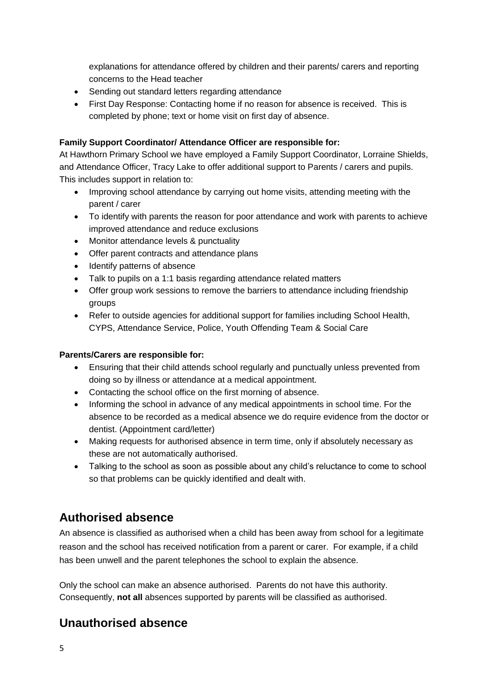explanations for attendance offered by children and their parents/ carers and reporting concerns to the Head teacher

- Sending out standard letters regarding attendance
- First Day Response: Contacting home if no reason for absence is received. This is completed by phone; text or home visit on first day of absence.

#### **Family Support Coordinator/ Attendance Officer are responsible for:**

At Hawthorn Primary School we have employed a Family Support Coordinator, Lorraine Shields, and Attendance Officer, Tracy Lake to offer additional support to Parents / carers and pupils. This includes support in relation to:

- Improving school attendance by carrying out home visits, attending meeting with the parent / carer
- To identify with parents the reason for poor attendance and work with parents to achieve improved attendance and reduce exclusions
- Monitor attendance levels & punctuality
- Offer parent contracts and attendance plans
- Identify patterns of absence
- Talk to pupils on a 1:1 basis regarding attendance related matters
- Offer group work sessions to remove the barriers to attendance including friendship groups
- Refer to outside agencies for additional support for families including School Health, CYPS, Attendance Service, Police, Youth Offending Team & Social Care

#### **Parents/Carers are responsible for:**

- Ensuring that their child attends school regularly and punctually unless prevented from doing so by illness or attendance at a medical appointment.
- Contacting the school office on the first morning of absence.
- Informing the school in advance of any medical appointments in school time. For the absence to be recorded as a medical absence we do require evidence from the doctor or dentist. (Appointment card/letter)
- Making requests for authorised absence in term time, only if absolutely necessary as these are not automatically authorised.
- Talking to the school as soon as possible about any child's reluctance to come to school so that problems can be quickly identified and dealt with.

## **Authorised absence**

An absence is classified as authorised when a child has been away from school for a legitimate reason and the school has received notification from a parent or carer. For example, if a child has been unwell and the parent telephones the school to explain the absence.

Only the school can make an absence authorised. Parents do not have this authority. Consequently, **not all** absences supported by parents will be classified as authorised.

### **Unauthorised absence**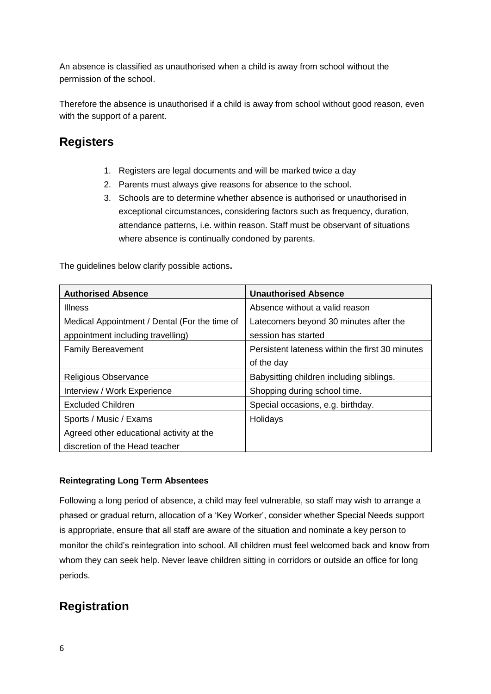An absence is classified as unauthorised when a child is away from school without the permission of the school.

Therefore the absence is unauthorised if a child is away from school without good reason, even with the support of a parent.

## **Registers**

- 1. Registers are legal documents and will be marked twice a day
- 2. Parents must always give reasons for absence to the school.
- 3. Schools are to determine whether absence is authorised or unauthorised in exceptional circumstances, considering factors such as frequency, duration, attendance patterns, i.e. within reason. Staff must be observant of situations where absence is continually condoned by parents.

The guidelines below clarify possible actions**.**

| <b>Authorised Absence</b>                     | <b>Unauthorised Absence</b>                     |  |
|-----------------------------------------------|-------------------------------------------------|--|
| <b>Illness</b>                                | Absence without a valid reason                  |  |
| Medical Appointment / Dental (For the time of | Latecomers beyond 30 minutes after the          |  |
| appointment including travelling)             | session has started                             |  |
| <b>Family Bereavement</b>                     | Persistent lateness within the first 30 minutes |  |
|                                               | of the day                                      |  |
| <b>Religious Observance</b>                   | Babysitting children including siblings.        |  |
| Interview / Work Experience                   | Shopping during school time.                    |  |
| <b>Excluded Children</b>                      | Special occasions, e.g. birthday.               |  |
| Sports / Music / Exams                        | Holidays                                        |  |
| Agreed other educational activity at the      |                                                 |  |
| discretion of the Head teacher                |                                                 |  |

#### **Reintegrating Long Term Absentees**

Following a long period of absence, a child may feel vulnerable, so staff may wish to arrange a phased or gradual return, allocation of a 'Key Worker', consider whether Special Needs support is appropriate, ensure that all staff are aware of the situation and nominate a key person to monitor the child's reintegration into school. All children must feel welcomed back and know from whom they can seek help. Never leave children sitting in corridors or outside an office for long periods.

## **Registration**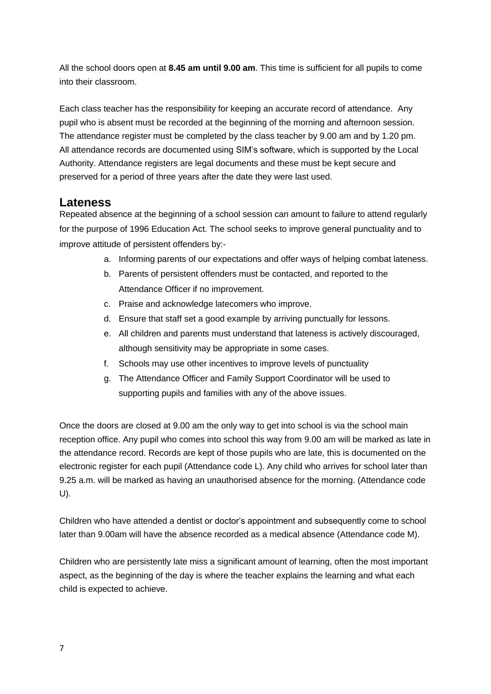All the school doors open at **8.45 am until 9.00 am**. This time is sufficient for all pupils to come into their classroom.

Each class teacher has the responsibility for keeping an accurate record of attendance. Any pupil who is absent must be recorded at the beginning of the morning and afternoon session. The attendance register must be completed by the class teacher by 9.00 am and by 1.20 pm. All attendance records are documented using SIM's software, which is supported by the Local Authority. Attendance registers are legal documents and these must be kept secure and preserved for a period of three years after the date they were last used.

## **Lateness**

Repeated absence at the beginning of a school session can amount to failure to attend regularly for the purpose of 1996 Education Act. The school seeks to improve general punctuality and to improve attitude of persistent offenders by:-

- a. Informing parents of our expectations and offer ways of helping combat lateness.
- b. Parents of persistent offenders must be contacted, and reported to the Attendance Officer if no improvement.
- c. Praise and acknowledge latecomers who improve.
- d. Ensure that staff set a good example by arriving punctually for lessons.
- e. All children and parents must understand that lateness is actively discouraged, although sensitivity may be appropriate in some cases.
- f. Schools may use other incentives to improve levels of punctuality
- g. The Attendance Officer and Family Support Coordinator will be used to supporting pupils and families with any of the above issues.

Once the doors are closed at 9.00 am the only way to get into school is via the school main reception office. Any pupil who comes into school this way from 9.00 am will be marked as late in the attendance record. Records are kept of those pupils who are late, this is documented on the electronic register for each pupil (Attendance code L). Any child who arrives for school later than 9.25 a.m. will be marked as having an unauthorised absence for the morning. (Attendance code U).

Children who have attended a dentist or doctor's appointment and subsequently come to school later than 9.00am will have the absence recorded as a medical absence (Attendance code M).

Children who are persistently late miss a significant amount of learning, often the most important aspect, as the beginning of the day is where the teacher explains the learning and what each child is expected to achieve.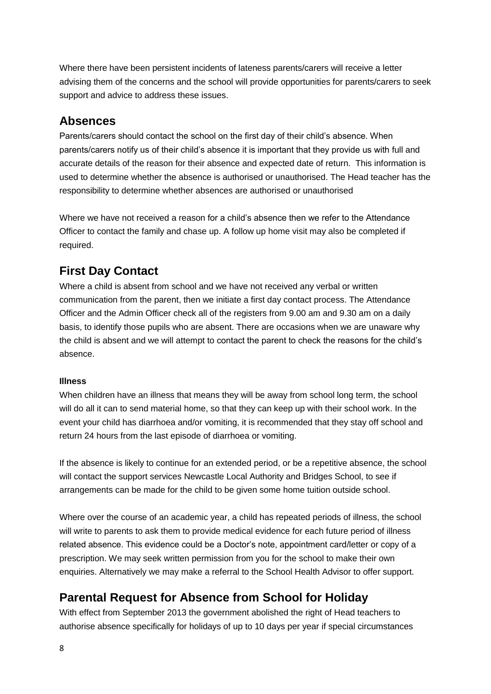Where there have been persistent incidents of lateness parents/carers will receive a letter advising them of the concerns and the school will provide opportunities for parents/carers to seek support and advice to address these issues.

## **Absences**

Parents/carers should contact the school on the first day of their child's absence. When parents/carers notify us of their child's absence it is important that they provide us with full and accurate details of the reason for their absence and expected date of return. This information is used to determine whether the absence is authorised or unauthorised. The Head teacher has the responsibility to determine whether absences are authorised or unauthorised

Where we have not received a reason for a child's absence then we refer to the Attendance Officer to contact the family and chase up. A follow up home visit may also be completed if required.

## **First Day Contact**

Where a child is absent from school and we have not received any verbal or written communication from the parent, then we initiate a first day contact process. The Attendance Officer and the Admin Officer check all of the registers from 9.00 am and 9.30 am on a daily basis, to identify those pupils who are absent. There are occasions when we are unaware why the child is absent and we will attempt to contact the parent to check the reasons for the child's absence.

#### **Illness**

When children have an illness that means they will be away from school long term, the school will do all it can to send material home, so that they can keep up with their school work. In the event your child has diarrhoea and/or vomiting, it is recommended that they stay off school and return 24 hours from the last episode of diarrhoea or vomiting.

If the absence is likely to continue for an extended period, or be a repetitive absence, the school will contact the support services Newcastle Local Authority and Bridges School, to see if arrangements can be made for the child to be given some home tuition outside school.

Where over the course of an academic year, a child has repeated periods of illness, the school will write to parents to ask them to provide medical evidence for each future period of illness related absence. This evidence could be a Doctor's note, appointment card/letter or copy of a prescription. We may seek written permission from you for the school to make their own enquiries. Alternatively we may make a referral to the School Health Advisor to offer support.

## **Parental Request for Absence from School for Holiday**

With effect from September 2013 the government abolished the right of Head teachers to authorise absence specifically for holidays of up to 10 days per year if special circumstances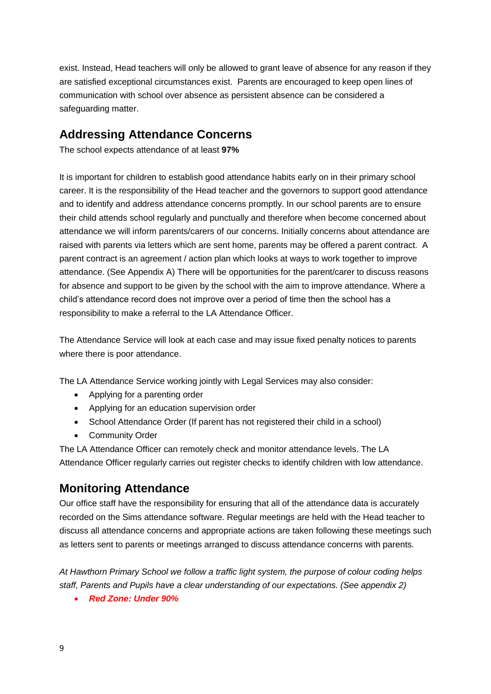exist. Instead, Head teachers will only be allowed to grant leave of absence for any reason if they are satisfied exceptional circumstances exist. Parents are encouraged to keep open lines of communication with school over absence as persistent absence can be considered a safeguarding matter.

## **Addressing Attendance Concerns**

The school expects attendance of at least **97%**

It is important for children to establish good attendance habits early on in their primary school career. It is the responsibility of the Head teacher and the governors to support good attendance and to identify and address attendance concerns promptly. In our school parents are to ensure their child attends school regularly and punctually and therefore when become concerned about attendance we will inform parents/carers of our concerns. Initially concerns about attendance are raised with parents via letters which are sent home, parents may be offered a parent contract. A parent contract is an agreement / action plan which looks at ways to work together to improve attendance. (See Appendix A) There will be opportunities for the parent/carer to discuss reasons for absence and support to be given by the school with the aim to improve attendance. Where a child's attendance record does not improve over a period of time then the school has a responsibility to make a referral to the LA Attendance Officer.

The Attendance Service will look at each case and may issue fixed penalty notices to parents where there is poor attendance.

The LA Attendance Service working jointly with Legal Services may also consider:

- Applying for a parenting order
- Applying for an education supervision order
- School Attendance Order (If parent has not registered their child in a school)
- Community Order

The LA Attendance Officer can remotely check and monitor attendance levels. The LA Attendance Officer regularly carries out register checks to identify children with low attendance.

## **Monitoring Attendance**

Our office staff have the responsibility for ensuring that all of the attendance data is accurately recorded on the Sims attendance software. Regular meetings are held with the Head teacher to discuss all attendance concerns and appropriate actions are taken following these meetings such as letters sent to parents or meetings arranged to discuss attendance concerns with parents*.*

*At Hawthorn Primary School we follow a traffic light system, the purpose of colour coding helps staff, Parents and Pupils have a clear understanding of our expectations. (See appendix 2)*

• *Red Zone: Under 90%*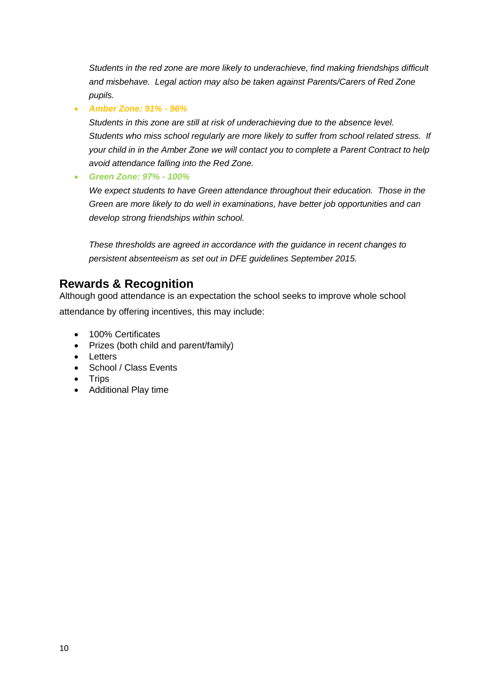*Students in the red zone are more likely to underachieve, find making friendships difficult and misbehave. Legal action may also be taken against Parents/Carers of Red Zone pupils.* 

• *Amber Zone: 91% - 96%*

*Students in this zone are still at risk of underachieving due to the absence level. Students who miss school regularly are more likely to suffer from school related stress. If your child in in the Amber Zone we will contact you to complete a Parent Contract to help avoid attendance falling into the Red Zone.* 

• *Green Zone: 97% - 100%*

*We expect students to have Green attendance throughout their education. Those in the Green are more likely to do well in examinations, have better job opportunities and can develop strong friendships within school.* 

*These thresholds are agreed in accordance with the guidance in recent changes to persistent absenteeism as set out in DFE guidelines September 2015.*

## **Rewards & Recognition**

Although good attendance is an expectation the school seeks to improve whole school attendance by offering incentives, this may include:

- 100% Certificates
- Prizes (both child and parent/family)
- Letters
- School / Class Events
- Trips
- Additional Play time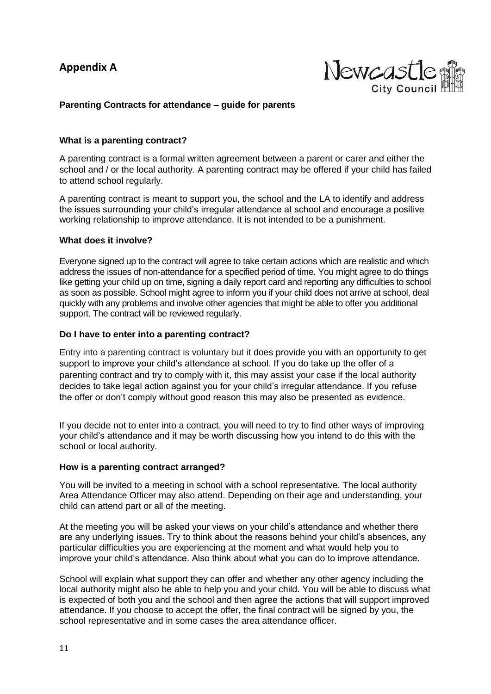**Appendix A**



#### **Parenting Contracts for attendance – guide for parents**

#### **What is a parenting contract?**

A parenting contract is a formal written agreement between a parent or carer and either the school and / or the local authority. A parenting contract may be offered if your child has failed to attend school regularly.

A parenting contract is meant to support you, the school and the LA to identify and address the issues surrounding your child's irregular attendance at school and encourage a positive working relationship to improve attendance. It is not intended to be a punishment.

#### **What does it involve?**

Everyone signed up to the contract will agree to take certain actions which are realistic and which address the issues of non-attendance for a specified period of time. You might agree to do things like getting your child up on time, signing a daily report card and reporting any difficulties to school as soon as possible. School might agree to inform you if your child does not arrive at school, deal quickly with any problems and involve other agencies that might be able to offer you additional support. The contract will be reviewed regularly.

#### **Do I have to enter into a parenting contract?**

Entry into a parenting contract is voluntary but it does provide you with an opportunity to get support to improve your child's attendance at school. If you do take up the offer of a parenting contract and try to comply with it, this may assist your case if the local authority decides to take legal action against you for your child's irregular attendance. If you refuse the offer or don't comply without good reason this may also be presented as evidence.

If you decide not to enter into a contract, you will need to try to find other ways of improving your child's attendance and it may be worth discussing how you intend to do this with the school or local authority.

#### **How is a parenting contract arranged?**

You will be invited to a meeting in school with a school representative. The local authority Area Attendance Officer may also attend. Depending on their age and understanding, your child can attend part or all of the meeting.

At the meeting you will be asked your views on your child's attendance and whether there are any underlying issues. Try to think about the reasons behind your child's absences, any particular difficulties you are experiencing at the moment and what would help you to improve your child's attendance. Also think about what you can do to improve attendance.

School will explain what support they can offer and whether any other agency including the local authority might also be able to help you and your child. You will be able to discuss what is expected of both you and the school and then agree the actions that will support improved attendance. If you choose to accept the offer, the final contract will be signed by you, the school representative and in some cases the area attendance officer.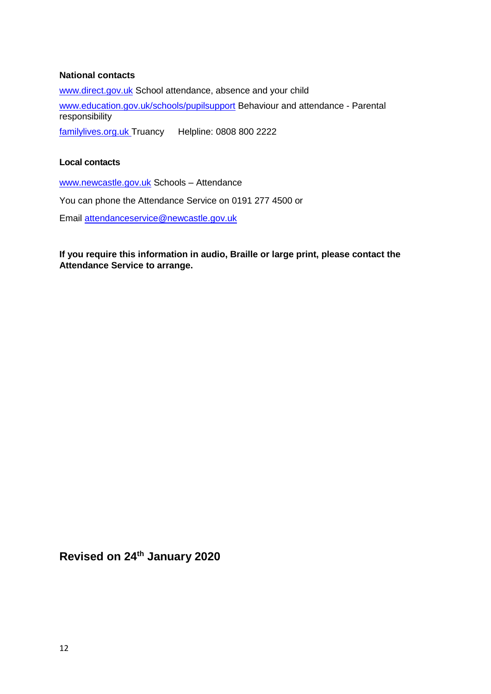#### **National contacts**

[www.direct.gov.uk](http://www.direct.gov.uk/) School attendance, absence and your child [www.education.gov.uk/schools/pupilsupport](http://www.education.gov.uk/schools/pupilsupport) Behaviour and attendance - Parental responsibility familylives.org.uk Truancy Helpline: 0808 800 2222

#### **Local contacts**

[www.newcastle.gov.uk](http://www.newcastle.gov.uk/) Schools – Attendance You can phone the Attendance Service on 0191 277 4500 or Email attendanceservice@newcastle.gov.uk

**If you require this information in audio, Braille or large print, please contact the Attendance Service to arrange.**

**Revised on 24th January 2020**